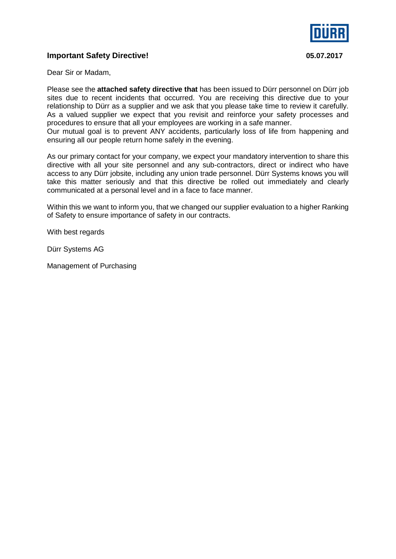

## **Important Safety Directive! 05.07.2017**

Dear Sir or Madam,

Please see the **attached safety directive that** has been issued to Dürr personnel on Dürr job sites due to recent incidents that occurred. You are receiving this directive due to your relationship to Dürr as a supplier and we ask that you please take time to review it carefully. As a valued supplier we expect that you revisit and reinforce your safety processes and procedures to ensure that all your employees are working in a safe manner.

Our mutual goal is to prevent ANY accidents, particularly loss of life from happening and ensuring all our people return home safely in the evening.

As our primary contact for your company, we expect your mandatory intervention to share this directive with all your site personnel and any sub-contractors, direct or indirect who have access to any Dürr jobsite, including any union trade personnel. Dürr Systems knows you will take this matter seriously and that this directive be rolled out immediately and clearly communicated at a personal level and in a face to face manner.

Within this we want to inform you, that we changed our supplier evaluation to a higher Ranking of Safety to ensure importance of safety in our contracts.

With best regards

Dürr Systems AG

Management of Purchasing